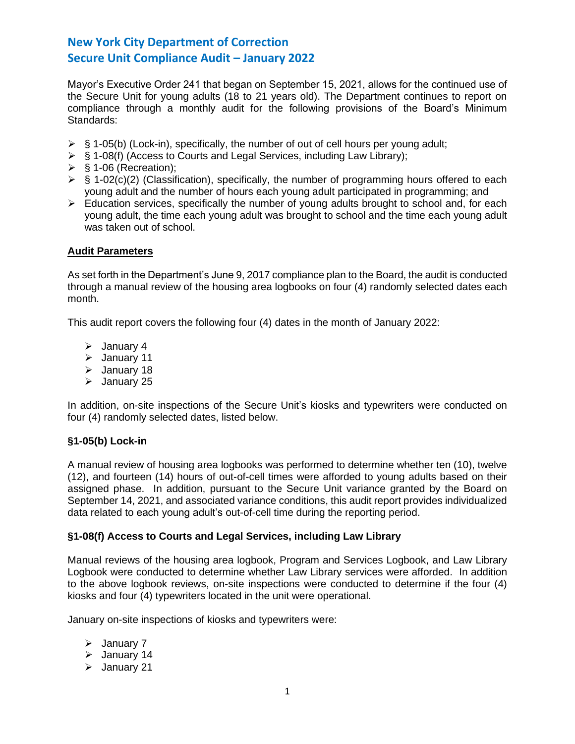Mayor's Executive Order 241 that began on September 15, 2021, allows for the continued use of the Secure Unit for young adults (18 to 21 years old). The Department continues to report on compliance through a monthly audit for the following provisions of the Board's Minimum Standards:

- $\triangleright$  § 1-05(b) (Lock-in), specifically, the number of out of cell hours per young adult;
- ➢ § 1-08(f) (Access to Courts and Legal Services, including Law Library);
- $\triangleright$  § 1-06 (Recreation);
- $\triangleright$  § 1-02(c)(2) (Classification), specifically, the number of programming hours offered to each young adult and the number of hours each young adult participated in programming; and
- $\triangleright$  Education services, specifically the number of young adults brought to school and, for each young adult, the time each young adult was brought to school and the time each young adult was taken out of school.

# **Audit Parameters**

As set forth in the Department's June 9, 2017 compliance plan to the Board, the audit is conducted through a manual review of the housing area logbooks on four (4) randomly selected dates each month.

This audit report covers the following four (4) dates in the month of January 2022:

- ➢ January 4
- ➢ January 11
- ➢ January 18
- ➢ January 25

In addition, on-site inspections of the Secure Unit's kiosks and typewriters were conducted on four (4) randomly selected dates, listed below.

### **§1-05(b) Lock-in**

A manual review of housing area logbooks was performed to determine whether ten (10), twelve (12), and fourteen (14) hours of out-of-cell times were afforded to young adults based on their assigned phase. In addition, pursuant to the Secure Unit variance granted by the Board on September 14, 2021, and associated variance conditions, this audit report provides individualized data related to each young adult's out-of-cell time during the reporting period.

# **§1-08(f) Access to Courts and Legal Services, including Law Library**

Manual reviews of the housing area logbook, Program and Services Logbook, and Law Library Logbook were conducted to determine whether Law Library services were afforded. In addition to the above logbook reviews, on-site inspections were conducted to determine if the four (4) kiosks and four (4) typewriters located in the unit were operational.

January on-site inspections of kiosks and typewriters were:

- ➢ January 7
- ➢ January 14
- ➢ January 21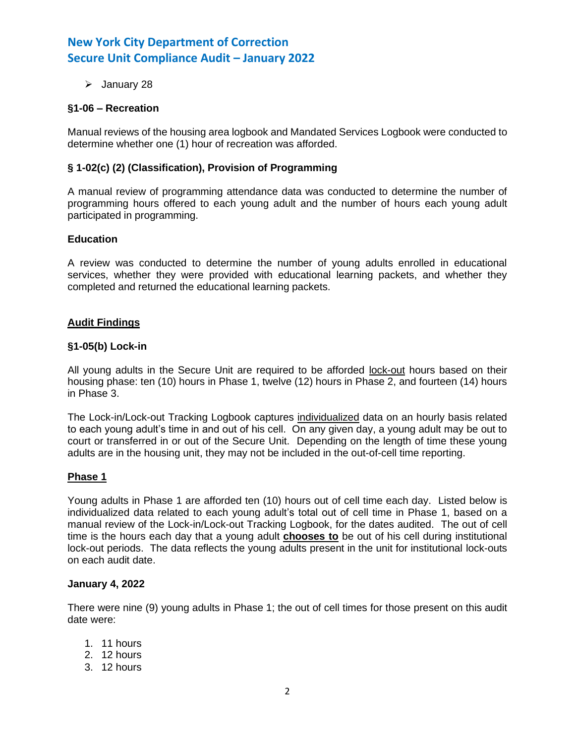➢ January 28

# **§1-06 – Recreation**

Manual reviews of the housing area logbook and Mandated Services Logbook were conducted to determine whether one (1) hour of recreation was afforded.

# **§ 1-02(c) (2) (Classification), Provision of Programming**

A manual review of programming attendance data was conducted to determine the number of programming hours offered to each young adult and the number of hours each young adult participated in programming.

### **Education**

A review was conducted to determine the number of young adults enrolled in educational services, whether they were provided with educational learning packets, and whether they completed and returned the educational learning packets.

## **Audit Findings**

### **§1-05(b) Lock-in**

All young adults in the Secure Unit are required to be afforded lock-out hours based on their housing phase: ten (10) hours in Phase 1, twelve (12) hours in Phase 2, and fourteen (14) hours in Phase 3.

The Lock-in/Lock-out Tracking Logbook captures individualized data on an hourly basis related to each young adult's time in and out of his cell. On any given day, a young adult may be out to court or transferred in or out of the Secure Unit. Depending on the length of time these young adults are in the housing unit, they may not be included in the out-of-cell time reporting.

### **Phase 1**

Young adults in Phase 1 are afforded ten (10) hours out of cell time each day. Listed below is individualized data related to each young adult's total out of cell time in Phase 1, based on a manual review of the Lock-in/Lock-out Tracking Logbook, for the dates audited. The out of cell time is the hours each day that a young adult **chooses to** be out of his cell during institutional lock-out periods. The data reflects the young adults present in the unit for institutional lock-outs on each audit date.

### **January 4, 2022**

There were nine (9) young adults in Phase 1; the out of cell times for those present on this audit date were:

- 1. 11 hours
- 2. 12 hours
- 3. 12 hours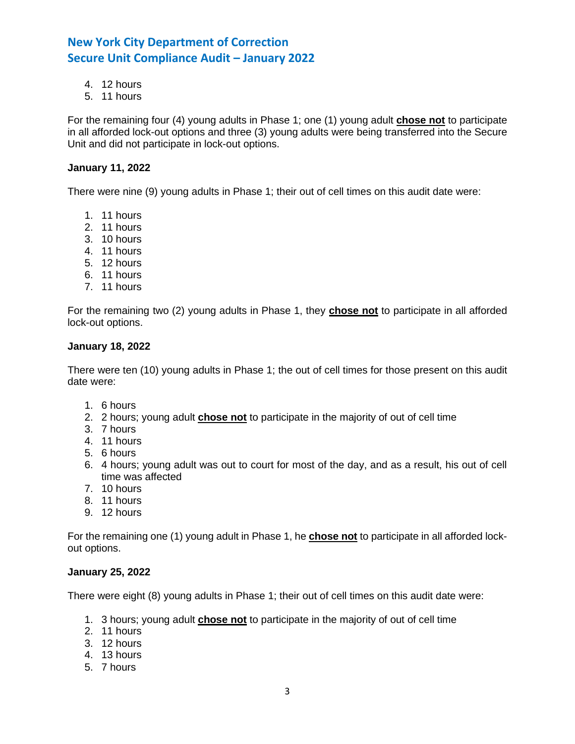- 4. 12 hours
- 5. 11 hours

For the remaining four (4) young adults in Phase 1; one (1) young adult **chose not** to participate in all afforded lock-out options and three (3) young adults were being transferred into the Secure Unit and did not participate in lock-out options.

## **January 11, 2022**

There were nine (9) young adults in Phase 1; their out of cell times on this audit date were:

- 1. 11 hours
- 2. 11 hours
- 3. 10 hours
- 4. 11 hours
- 5. 12 hours
- 6. 11 hours
- 7. 11 hours

For the remaining two (2) young adults in Phase 1, they **chose not** to participate in all afforded lock-out options.

### **January 18, 2022**

There were ten (10) young adults in Phase 1; the out of cell times for those present on this audit date were:

- 1. 6 hours
- 2. 2 hours; young adult **chose not** to participate in the majority of out of cell time
- 3. 7 hours
- 4. 11 hours
- 5. 6 hours
- 6. 4 hours; young adult was out to court for most of the day, and as a result, his out of cell time was affected
- 7. 10 hours
- 8. 11 hours
- 9. 12 hours

For the remaining one (1) young adult in Phase 1, he **chose not** to participate in all afforded lockout options.

### **January 25, 2022**

There were eight (8) young adults in Phase 1; their out of cell times on this audit date were:

- 1. 3 hours; young adult **chose not** to participate in the majority of out of cell time
- 2. 11 hours
- 3. 12 hours
- 4. 13 hours
- 5. 7 hours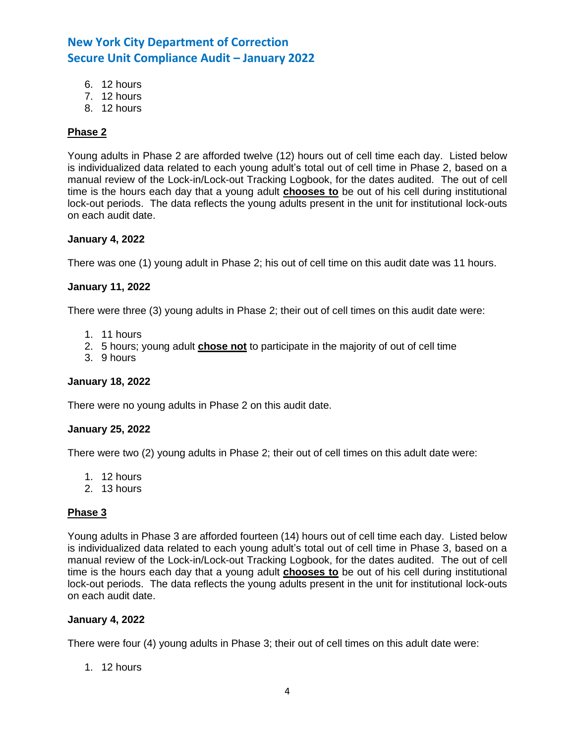- 6. 12 hours
- 7. 12 hours
- 8. 12 hours

# **Phase 2**

Young adults in Phase 2 are afforded twelve (12) hours out of cell time each day. Listed below is individualized data related to each young adult's total out of cell time in Phase 2, based on a manual review of the Lock-in/Lock-out Tracking Logbook, for the dates audited. The out of cell time is the hours each day that a young adult **chooses to** be out of his cell during institutional lock-out periods. The data reflects the young adults present in the unit for institutional lock-outs on each audit date.

### **January 4, 2022**

There was one (1) young adult in Phase 2; his out of cell time on this audit date was 11 hours.

## **January 11, 2022**

There were three (3) young adults in Phase 2; their out of cell times on this audit date were:

- 1. 11 hours
- 2. 5 hours; young adult **chose not** to participate in the majority of out of cell time
- 3. 9 hours

# **January 18, 2022**

There were no young adults in Phase 2 on this audit date.

### **January 25, 2022**

There were two (2) young adults in Phase 2; their out of cell times on this adult date were:

- 1. 12 hours
- 2. 13 hours

### **Phase 3**

Young adults in Phase 3 are afforded fourteen (14) hours out of cell time each day. Listed below is individualized data related to each young adult's total out of cell time in Phase 3, based on a manual review of the Lock-in/Lock-out Tracking Logbook, for the dates audited. The out of cell time is the hours each day that a young adult **chooses to** be out of his cell during institutional lock-out periods. The data reflects the young adults present in the unit for institutional lock-outs on each audit date.

# **January 4, 2022**

There were four (4) young adults in Phase 3; their out of cell times on this adult date were:

1. 12 hours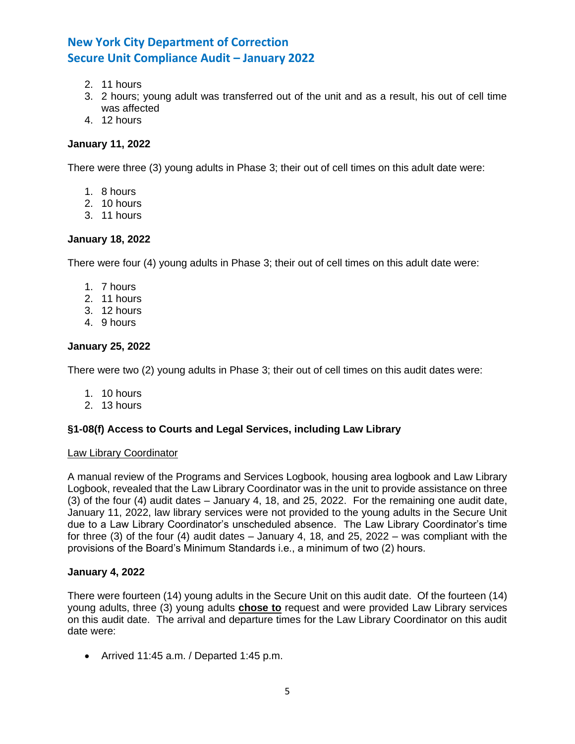- 2. 11 hours
- 3. 2 hours; young adult was transferred out of the unit and as a result, his out of cell time was affected
- 4. 12 hours

## **January 11, 2022**

There were three (3) young adults in Phase 3; their out of cell times on this adult date were:

- 1. 8 hours
- 2. 10 hours
- 3. 11 hours

## **January 18, 2022**

There were four (4) young adults in Phase 3; their out of cell times on this adult date were:

- 1. 7 hours
- 2. 11 hours
- 3. 12 hours
- 4. 9 hours

## **January 25, 2022**

There were two (2) young adults in Phase 3; their out of cell times on this audit dates were:

- 1. 10 hours
- 2. 13 hours

# **§1-08(f) Access to Courts and Legal Services, including Law Library**

### Law Library Coordinator

A manual review of the Programs and Services Logbook, housing area logbook and Law Library Logbook, revealed that the Law Library Coordinator was in the unit to provide assistance on three (3) of the four (4) audit dates – January 4, 18, and 25, 2022. For the remaining one audit date, January 11, 2022, law library services were not provided to the young adults in the Secure Unit due to a Law Library Coordinator's unscheduled absence. The Law Library Coordinator's time for three (3) of the four (4) audit dates – January 4, 18, and 25, 2022 – was compliant with the provisions of the Board's Minimum Standards i.e., a minimum of two (2) hours.

### **January 4, 2022**

There were fourteen (14) young adults in the Secure Unit on this audit date. Of the fourteen (14) young adults, three (3) young adults **chose to** request and were provided Law Library services on this audit date. The arrival and departure times for the Law Library Coordinator on this audit date were:

• Arrived 11:45 a.m. / Departed 1:45 p.m.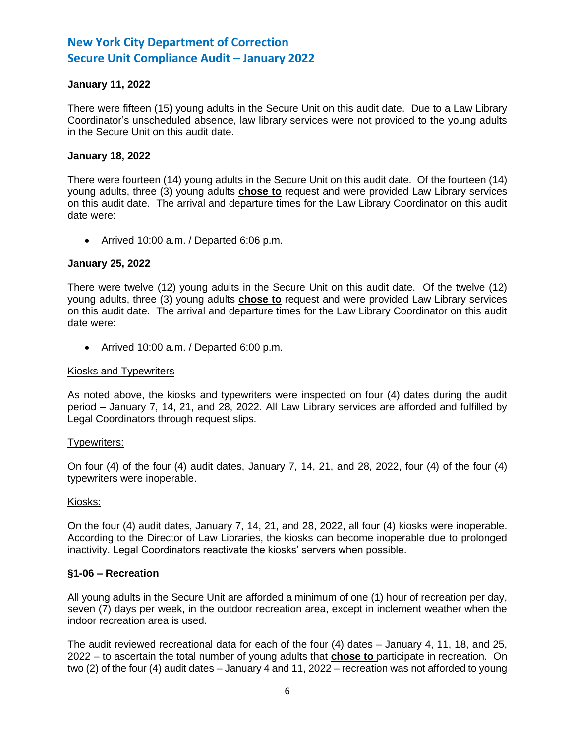# **January 11, 2022**

There were fifteen (15) young adults in the Secure Unit on this audit date. Due to a Law Library Coordinator's unscheduled absence, law library services were not provided to the young adults in the Secure Unit on this audit date.

### **January 18, 2022**

There were fourteen (14) young adults in the Secure Unit on this audit date. Of the fourteen (14) young adults, three (3) young adults **chose to** request and were provided Law Library services on this audit date. The arrival and departure times for the Law Library Coordinator on this audit date were:

• Arrived 10:00 a.m. / Departed 6:06 p.m.

### **January 25, 2022**

There were twelve (12) young adults in the Secure Unit on this audit date. Of the twelve (12) young adults, three (3) young adults **chose to** request and were provided Law Library services on this audit date. The arrival and departure times for the Law Library Coordinator on this audit date were:

• Arrived 10:00 a.m. / Departed 6:00 p.m.

### Kiosks and Typewriters

As noted above, the kiosks and typewriters were inspected on four (4) dates during the audit period – January 7, 14, 21, and 28, 2022. All Law Library services are afforded and fulfilled by Legal Coordinators through request slips.

### Typewriters:

On four (4) of the four (4) audit dates, January 7, 14, 21, and 28, 2022, four (4) of the four (4) typewriters were inoperable.

### Kiosks:

On the four (4) audit dates, January 7, 14, 21, and 28, 2022, all four (4) kiosks were inoperable. According to the Director of Law Libraries, the kiosks can become inoperable due to prolonged inactivity. Legal Coordinators reactivate the kiosks' servers when possible.

### **§1-06 – Recreation**

All young adults in the Secure Unit are afforded a minimum of one (1) hour of recreation per day, seven (7) days per week, in the outdoor recreation area, except in inclement weather when the indoor recreation area is used.

The audit reviewed recreational data for each of the four (4) dates – January 4, 11, 18, and 25, 2022 – to ascertain the total number of young adults that **chose to** participate in recreation. On two (2) of the four (4) audit dates – January 4 and 11, 2022 – recreation was not afforded to young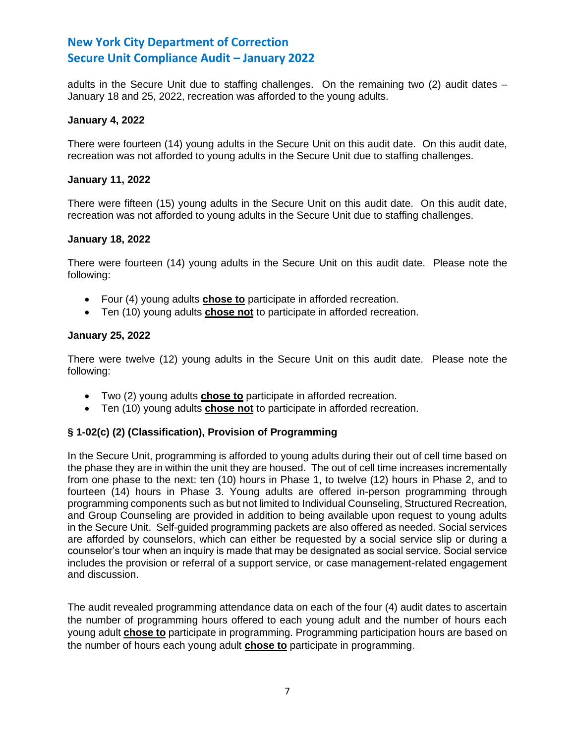adults in the Secure Unit due to staffing challenges. On the remaining two (2) audit dates – January 18 and 25, 2022, recreation was afforded to the young adults.

### **January 4, 2022**

There were fourteen (14) young adults in the Secure Unit on this audit date. On this audit date, recreation was not afforded to young adults in the Secure Unit due to staffing challenges.

### **January 11, 2022**

There were fifteen (15) young adults in the Secure Unit on this audit date. On this audit date, recreation was not afforded to young adults in the Secure Unit due to staffing challenges.

### **January 18, 2022**

There were fourteen (14) young adults in the Secure Unit on this audit date. Please note the following:

- Four (4) young adults **chose to** participate in afforded recreation.
- Ten (10) young adults **chose not** to participate in afforded recreation.

## **January 25, 2022**

There were twelve (12) young adults in the Secure Unit on this audit date. Please note the following:

- Two (2) young adults **chose to** participate in afforded recreation.
- Ten (10) young adults **chose not** to participate in afforded recreation.

# **§ 1-02(c) (2) (Classification), Provision of Programming**

In the Secure Unit, programming is afforded to young adults during their out of cell time based on the phase they are in within the unit they are housed. The out of cell time increases incrementally from one phase to the next: ten (10) hours in Phase 1, to twelve (12) hours in Phase 2, and to fourteen (14) hours in Phase 3. Young adults are offered in-person programming through programming components such as but not limited to Individual Counseling, Structured Recreation, and Group Counseling are provided in addition to being available upon request to young adults in the Secure Unit. Self-guided programming packets are also offered as needed. Social services are afforded by counselors, which can either be requested by a social service slip or during a counselor's tour when an inquiry is made that may be designated as social service. Social service includes the provision or referral of a support service, or case management-related engagement and discussion.

The audit revealed programming attendance data on each of the four (4) audit dates to ascertain the number of programming hours offered to each young adult and the number of hours each young adult **chose to** participate in programming. Programming participation hours are based on the number of hours each young adult **chose to** participate in programming.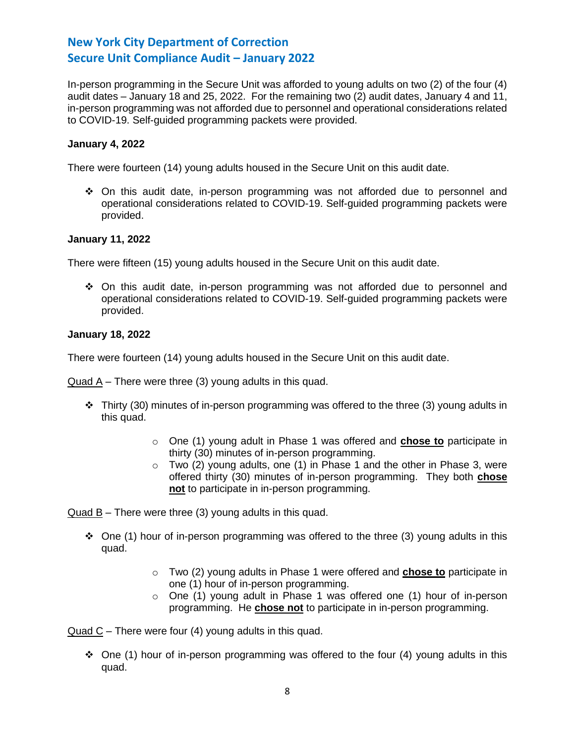In-person programming in the Secure Unit was afforded to young adults on two (2) of the four (4) audit dates – January 18 and 25, 2022. For the remaining two (2) audit dates, January 4 and 11, in-person programming was not afforded due to personnel and operational considerations related to COVID-19. Self-guided programming packets were provided.

# **January 4, 2022**

There were fourteen (14) young adults housed in the Secure Unit on this audit date.

❖ On this audit date, in-person programming was not afforded due to personnel and operational considerations related to COVID-19. Self-guided programming packets were provided.

## **January 11, 2022**

There were fifteen (15) young adults housed in the Secure Unit on this audit date.

❖ On this audit date, in-person programming was not afforded due to personnel and operational considerations related to COVID-19. Self-guided programming packets were provided.

## **January 18, 2022**

There were fourteen (14) young adults housed in the Secure Unit on this audit date.

Quad A – There were three (3) young adults in this quad.

- $\cdot \cdot$  Thirty (30) minutes of in-person programming was offered to the three (3) young adults in this quad.
	- o One (1) young adult in Phase 1 was offered and **chose to** participate in thirty (30) minutes of in-person programming.
	- o Two (2) young adults, one (1) in Phase 1 and the other in Phase 3, were offered thirty (30) minutes of in-person programming. They both **chose not** to participate in in-person programming.

Quad B – There were three (3) young adults in this quad.

- $\div$  One (1) hour of in-person programming was offered to the three (3) young adults in this quad.
	- o Two (2) young adults in Phase 1 were offered and **chose to** participate in one (1) hour of in-person programming.
	- o One (1) young adult in Phase 1 was offered one (1) hour of in-person programming. He **chose not** to participate in in-person programming.

Quad C – There were four (4) young adults in this quad.

◆ One (1) hour of in-person programming was offered to the four (4) young adults in this quad.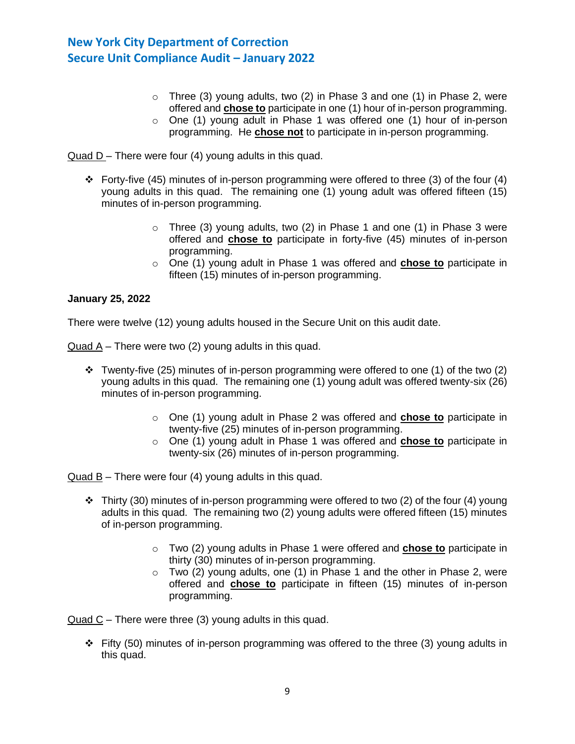- $\circ$  Three (3) young adults, two (2) in Phase 3 and one (1) in Phase 2, were offered and **chose to** participate in one (1) hour of in-person programming.
- o One (1) young adult in Phase 1 was offered one (1) hour of in-person programming. He **chose not** to participate in in-person programming.

Quad D – There were four (4) young adults in this quad.

- ❖ Forty-five (45) minutes of in-person programming were offered to three (3) of the four (4) young adults in this quad. The remaining one (1) young adult was offered fifteen (15) minutes of in-person programming.
	- o Three (3) young adults, two (2) in Phase 1 and one (1) in Phase 3 were offered and **chose to** participate in forty-five (45) minutes of in-person programming.
	- o One (1) young adult in Phase 1 was offered and **chose to** participate in fifteen (15) minutes of in-person programming.

## **January 25, 2022**

There were twelve (12) young adults housed in the Secure Unit on this audit date.

Quad A – There were two (2) young adults in this quad.

- Twenty-five (25) minutes of in-person programming were offered to one (1) of the two (2) young adults in this quad. The remaining one (1) young adult was offered twenty-six (26) minutes of in-person programming.
	- o One (1) young adult in Phase 2 was offered and **chose to** participate in twenty-five (25) minutes of in-person programming.
	- o One (1) young adult in Phase 1 was offered and **chose to** participate in twenty-six (26) minutes of in-person programming.

Quad B – There were four (4) young adults in this quad.

- $\div$  Thirty (30) minutes of in-person programming were offered to two (2) of the four (4) young adults in this quad. The remaining two (2) young adults were offered fifteen (15) minutes of in-person programming.
	- o Two (2) young adults in Phase 1 were offered and **chose to** participate in thirty (30) minutes of in-person programming.
	- o Two (2) young adults, one (1) in Phase 1 and the other in Phase 2, were offered and **chose to** participate in fifteen (15) minutes of in-person programming.

Quad C – There were three (3) young adults in this quad.

 $\div$  Fifty (50) minutes of in-person programming was offered to the three (3) young adults in this quad.